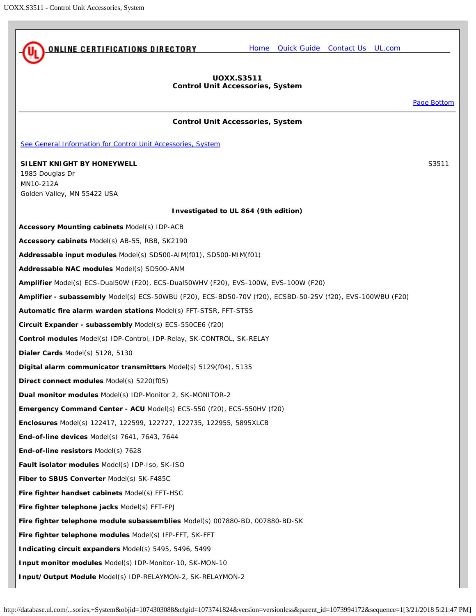<span id="page-0-0"></span>

[Page Bottom](#page-2-0)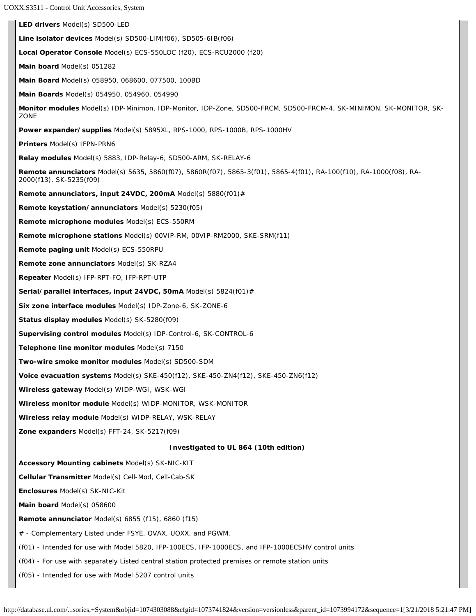UOXX.S3511 - Control Unit Accessories, System

**LED drivers** Model(s) SD500-LED **Line isolator devices** Model(s) SD500-LIM(f06), SD505-6IB(f06) **Local Operator Console** Model(s) ECS-550LOC (f20), ECS-RCU2000 (f20) **Main board** Model(s) 051282 **Main Board** Model(s) 058950, 068600, 077500, 100BD **Main Boards** Model(s) 054950, 054960, 054990 **Monitor modules** Model(s) IDP-Minimon, IDP-Monitor, IDP-Zone, SD500-FRCM, SD500-FRCM-4, SK-MINIMON, SK-MONITOR, SK-**ZONE Power expander/supplies** Model(s) 5895XL, RPS-1000, RPS-1000B, RPS-1000HV **Printers** Model(s) IFPN-PRN6 **Relay modules** Model(s) 5883, IDP-Relay-6, SD500-ARM, SK-RELAY-6 **Remote annunciators** Model(s) 5635, 5860(f07), 5860R(f07), 5865-3(f01), 5865-4(f01), RA-100(f10), RA-1000(f08), RA-2000(f13), SK-5235(f09) **Remote annunciators, input 24VDC, 200mA** Model(s) 5880(f01)# **Remote keystation/annunciators** Model(s) 5230(f05) **Remote microphone modules** Model(s) ECS-550RM **Remote microphone stations** Model(s) 00VIP-RM, 00VIP-RM2000, SKE-SRM(f11) **Remote paging unit** Model(s) ECS-550RPU **Remote zone annunciators** Model(s) SK-RZA4 **Repeater** Model(s) IFP-RPT-FO, IFP-RPT-UTP **Serial/parallel interfaces, input 24VDC, 50mA** Model(s) 5824(f01)# **Six zone interface modules** Model(s) IDP-Zone-6, SK-ZONE-6 **Status display modules** Model(s) SK-5280(f09) **Supervising control modules** Model(s) IDP-Control-6, SK-CONTROL-6 **Telephone line monitor modules** Model(s) 7150 **Two-wire smoke monitor modules** Model(s) SD500-SDM **Voice evacuation systems** Model(s) SKE-450(f12), SKE-450-ZN4(f12), SKE-450-ZN6(f12) **Wireless gateway** Model(s) WIDP-WGI, WSK-WGI **Wireless monitor module** Model(s) WIDP-MONITOR, WSK-MONITOR **Wireless relay module** Model(s) WIDP-RELAY, WSK-RELAY **Zone expanders** Model(s) FFT-24, SK-5217(f09) **Investigated to UL 864 (10th edition) Accessory Mounting cabinets** Model(s) SK-NIC-KIT **Cellular Transmitter** Model(s) Cell-Mod, Cell-Cab-SK **Enclosures** Model(s) SK-NIC-Kit **Main board** Model(s) 058600 **Remote annunciator** Model(s) 6855 (f15), 6860 (f15) # - Complementary Listed under FSYE, QVAX, UOXX, and PGWM. (f01) - Intended for use with Model 5820, IFP-100ECS, IFP-1000ECS, and IFP-1000ECSHV control units (f04) - For use with separately Listed central station protected premises or remote station units (f05) - Intended for use with Model 5207 control units